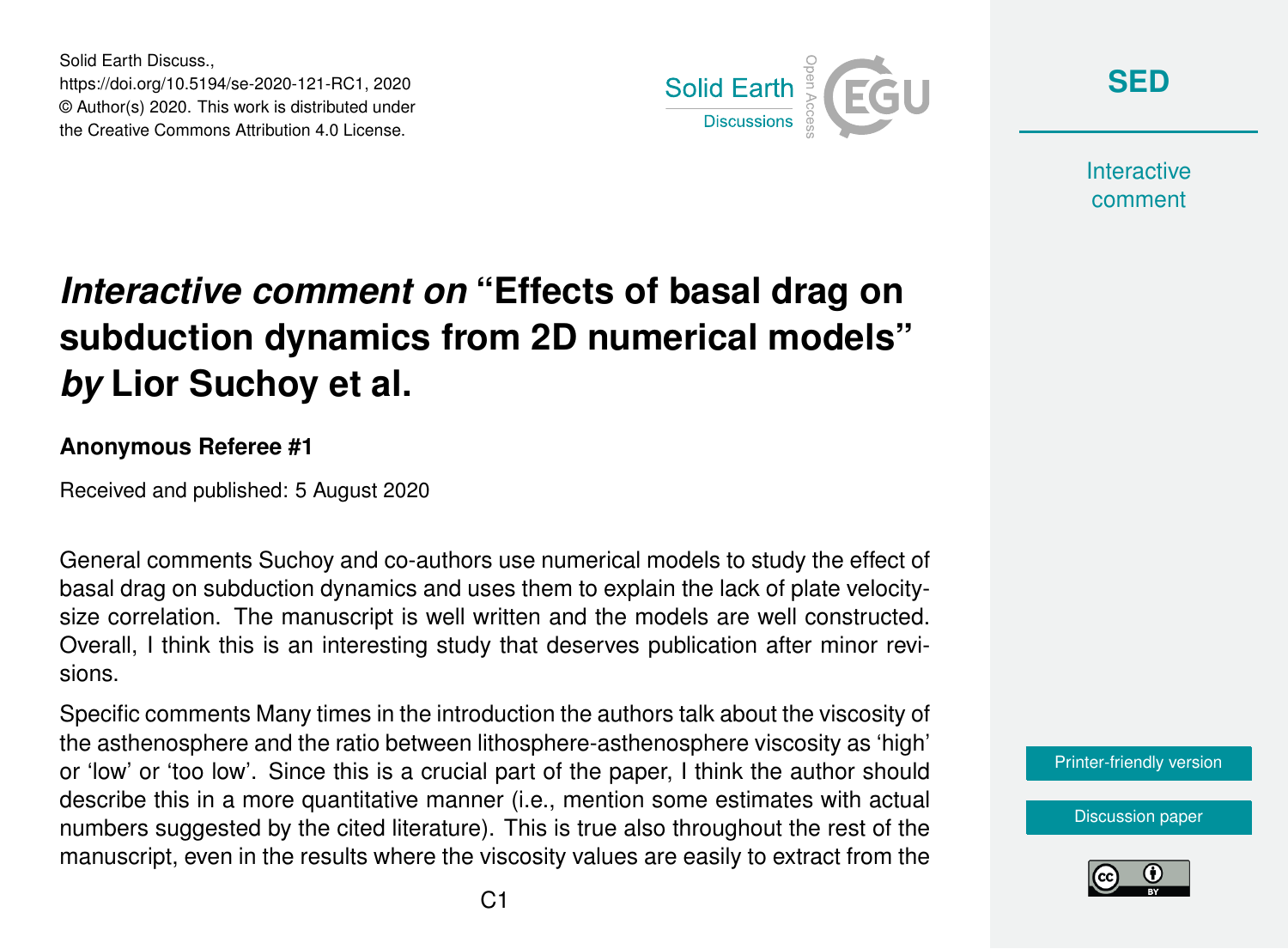Solid Earth Discuss., https://doi.org/10.5194/se-2020-121-RC1, 2020 © Author(s) 2020. This work is distributed under the Creative Commons Attribution 4.0 License.



**[SED](https://se.copernicus.org/preprints/)**

**Interactive** comment

# *Interactive comment on* **"Effects of basal drag on subduction dynamics from 2D numerical models"** *by* **Lior Suchoy et al.**

#### **Anonymous Referee #1**

Received and published: 5 August 2020

General comments Suchoy and co-authors use numerical models to study the effect of basal drag on subduction dynamics and uses them to explain the lack of plate velocitysize correlation. The manuscript is well written and the models are well constructed. Overall, I think this is an interesting study that deserves publication after minor revisions.

Specific comments Many times in the introduction the authors talk about the viscosity of the asthenosphere and the ratio between lithosphere-asthenosphere viscosity as 'high' or 'low' or 'too low'. Since this is a crucial part of the paper, I think the author should describe this in a more quantitative manner (i.e., mention some estimates with actual numbers suggested by the cited literature). This is true also throughout the rest of the manuscript, even in the results where the viscosity values are easily to extract from the



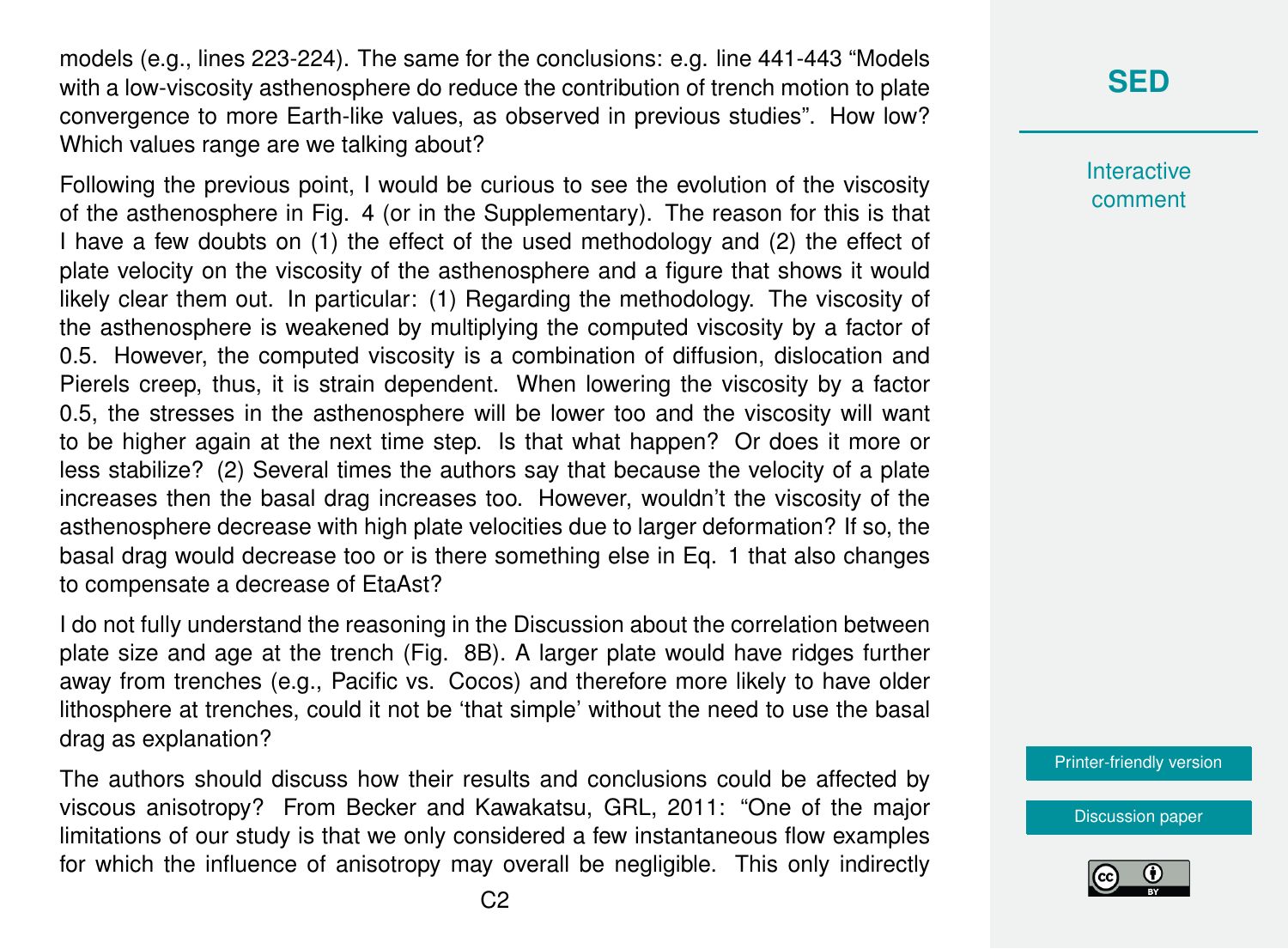models (e.g., lines 223-224). The same for the conclusions: e.g. line 441-443 "Models with a low-viscosity asthenosphere do reduce the contribution of trench motion to plate convergence to more Earth-like values, as observed in previous studies". How low? Which values range are we talking about?

Following the previous point, I would be curious to see the evolution of the viscosity of the asthenosphere in Fig. 4 (or in the Supplementary). The reason for this is that I have a few doubts on (1) the effect of the used methodology and (2) the effect of plate velocity on the viscosity of the asthenosphere and a figure that shows it would likely clear them out. In particular: (1) Regarding the methodology. The viscosity of the asthenosphere is weakened by multiplying the computed viscosity by a factor of 0.5. However, the computed viscosity is a combination of diffusion, dislocation and Pierels creep, thus, it is strain dependent. When lowering the viscosity by a factor 0.5, the stresses in the asthenosphere will be lower too and the viscosity will want to be higher again at the next time step. Is that what happen? Or does it more or less stabilize? (2) Several times the authors say that because the velocity of a plate increases then the basal drag increases too. However, wouldn't the viscosity of the asthenosphere decrease with high plate velocities due to larger deformation? If so, the basal drag would decrease too or is there something else in Eq. 1 that also changes to compensate a decrease of EtaAst?

I do not fully understand the reasoning in the Discussion about the correlation between plate size and age at the trench (Fig. 8B). A larger plate would have ridges further away from trenches (e.g., Pacific vs. Cocos) and therefore more likely to have older lithosphere at trenches, could it not be 'that simple' without the need to use the basal drag as explanation?

The authors should discuss how their results and conclusions could be affected by viscous anisotropy? From Becker and Kawakatsu, GRL, 2011: "One of the major limitations of our study is that we only considered a few instantaneous flow examples for which the influence of anisotropy may overall be negligible. This only indirectly

### **[SED](https://se.copernicus.org/preprints/)**

**Interactive** comment

[Printer-friendly version](https://se.copernicus.org/preprints/se-2020-121/se-2020-121-RC1-print.pdf)

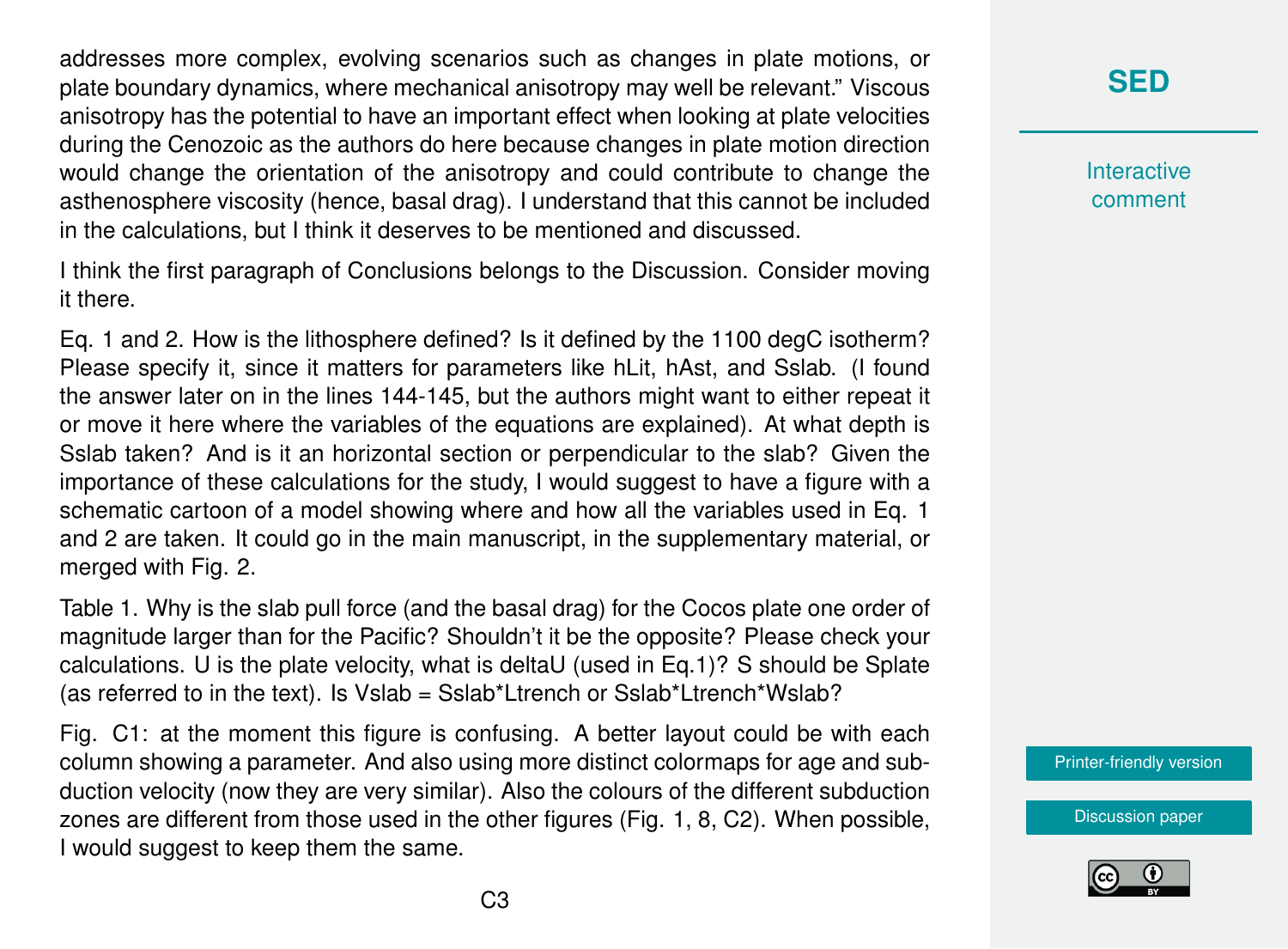addresses more complex, evolving scenarios such as changes in plate motions, or plate boundary dynamics, where mechanical anisotropy may well be relevant." Viscous anisotropy has the potential to have an important effect when looking at plate velocities during the Cenozoic as the authors do here because changes in plate motion direction would change the orientation of the anisotropy and could contribute to change the asthenosphere viscosity (hence, basal drag). I understand that this cannot be included in the calculations, but I think it deserves to be mentioned and discussed.

I think the first paragraph of Conclusions belongs to the Discussion. Consider moving it there.

Eq. 1 and 2. How is the lithosphere defined? Is it defined by the 1100 degC isotherm? Please specify it, since it matters for parameters like hLit, hAst, and Sslab. (I found the answer later on in the lines 144-145, but the authors might want to either repeat it or move it here where the variables of the equations are explained). At what depth is Sslab taken? And is it an horizontal section or perpendicular to the slab? Given the importance of these calculations for the study, I would suggest to have a figure with a schematic cartoon of a model showing where and how all the variables used in Eq. 1 and 2 are taken. It could go in the main manuscript, in the supplementary material, or merged with Fig. 2.

Table 1. Why is the slab pull force (and the basal drag) for the Cocos plate one order of magnitude larger than for the Pacific? Shouldn't it be the opposite? Please check your calculations. U is the plate velocity, what is deltaU (used in Eq.1)? S should be Splate (as referred to in the text). Is Vslab = Sslab\*Ltrench or Sslab\*Ltrench\*Wslab?

Fig. C1: at the moment this figure is confusing. A better layout could be with each column showing a parameter. And also using more distinct colormaps for age and subduction velocity (now they are very similar). Also the colours of the different subduction zones are different from those used in the other figures (Fig. 1, 8, C2). When possible, I would suggest to keep them the same.

## **[SED](https://se.copernicus.org/preprints/)**

**Interactive** comment

[Printer-friendly version](https://se.copernicus.org/preprints/se-2020-121/se-2020-121-RC1-print.pdf)